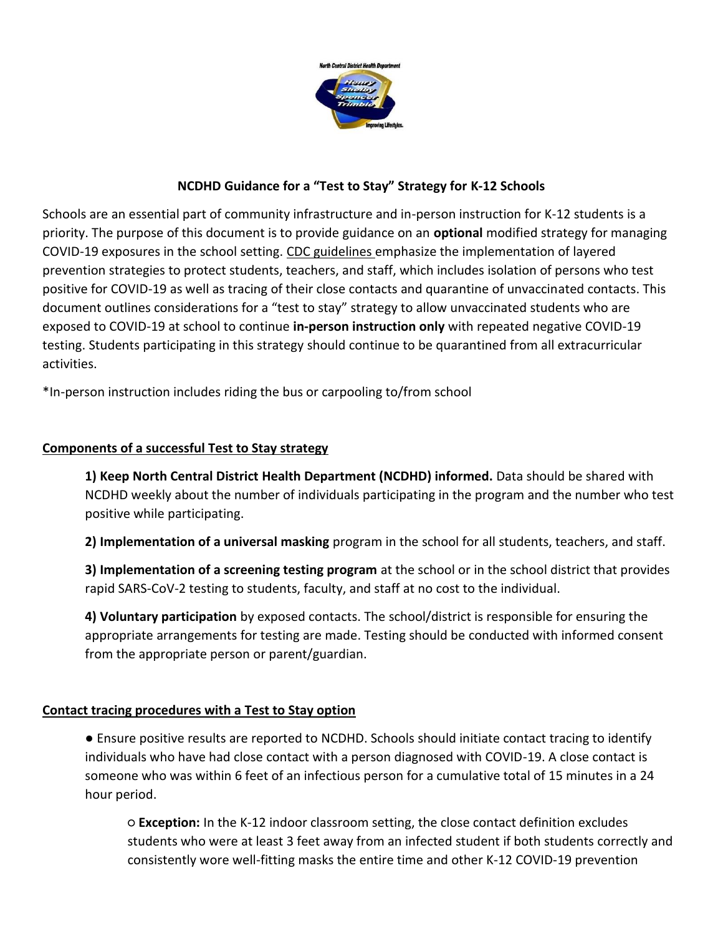

## **NCDHD Guidance for a "Test to Stay" Strategy for K-12 Schools**

Schools are an essential part of community infrastructure and in-person instruction for K-12 students is a priority. The purpose of this document is to provide guidance on an **optional** modified strategy for managing COVID-19 exposures in the school setting. CDC guidelines emphasize the implementation of layered prevention strategies to protect students, teachers, and staff, which includes isolation of persons who test positive for COVID-19 as well as tracing of their close contacts and quarantine of unvaccinated contacts. This document outlines considerations for a "test to stay" strategy to allow unvaccinated students who are exposed to COVID-19 at school to continue **in-person instruction only** with repeated negative COVID-19 testing. Students participating in this strategy should continue to be quarantined from all extracurricular activities.

\*In-person instruction includes riding the bus or carpooling to/from school

# **Components of a successful Test to Stay strategy**

**1) Keep North Central District Health Department (NCDHD) informed.** Data should be shared with NCDHD weekly about the number of individuals participating in the program and the number who test positive while participating.

**2) Implementation of a universal masking** program in the school for all students, teachers, and staff.

**3) Implementation of a screening testing program** at the school or in the school district that provides rapid SARS-CoV-2 testing to students, faculty, and staff at no cost to the individual.

**4) Voluntary participation** by exposed contacts. The school/district is responsible for ensuring the appropriate arrangements for testing are made. Testing should be conducted with informed consent from the appropriate person or parent/guardian.

### **Contact tracing procedures with a Test to Stay option**

● Ensure positive results are reported to NCDHD. Schools should initiate contact tracing to identify individuals who have had close contact with a person diagnosed with COVID-19. A close contact is someone who was within 6 feet of an infectious person for a cumulative total of 15 minutes in a 24 hour period.

○ **Exception:** In the K-12 indoor classroom setting, the close contact definition excludes students who were at least 3 feet away from an infected student if both students correctly and consistently wore well-fitting masks the entire time and other K-12 COVID-19 prevention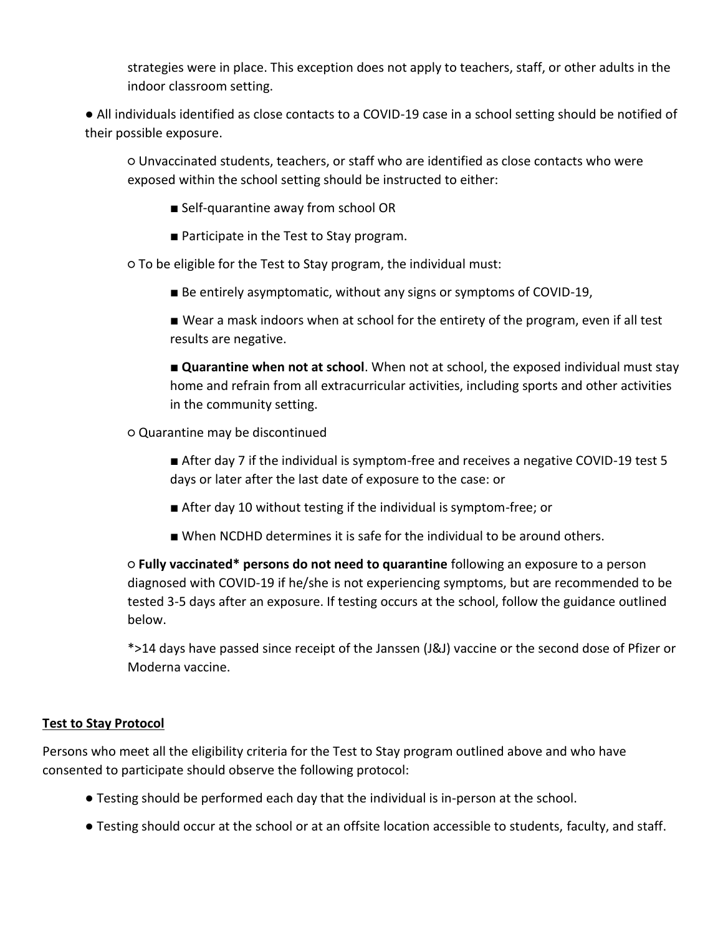strategies were in place. This exception does not apply to teachers, staff, or other adults in the indoor classroom setting.

● All individuals identified as close contacts to a COVID-19 case in a school setting should be notified of their possible exposure.

○ Unvaccinated students, teachers, or staff who are identified as close contacts who were exposed within the school setting should be instructed to either:

- Self-quarantine away from school OR
- Participate in the Test to Stay program.

○ To be eligible for the Test to Stay program, the individual must:

- Be entirely asymptomatic, without any signs or symptoms of COVID-19,
- Wear a mask indoors when at school for the entirety of the program, even if all test results are negative.
- **Quarantine when not at school**. When not at school, the exposed individual must stay home and refrain from all extracurricular activities, including sports and other activities in the community setting.

○ Quarantine may be discontinued

- After day 7 if the individual is symptom-free and receives a negative COVID-19 test 5 days or later after the last date of exposure to the case: or
- After day 10 without testing if the individual is symptom-free; or
- When NCDHD determines it is safe for the individual to be around others.

○ **Fully vaccinated\* persons do not need to quarantine** following an exposure to a person diagnosed with COVID-19 if he/she is not experiencing symptoms, but are recommended to be tested 3-5 days after an exposure. If testing occurs at the school, follow the guidance outlined below.

\*>14 days have passed since receipt of the Janssen (J&J) vaccine or the second dose of Pfizer or Moderna vaccine.

### **Test to Stay Protocol**

Persons who meet all the eligibility criteria for the Test to Stay program outlined above and who have consented to participate should observe the following protocol:

- Testing should be performed each day that the individual is in-person at the school.
- Testing should occur at the school or at an offsite location accessible to students, faculty, and staff.